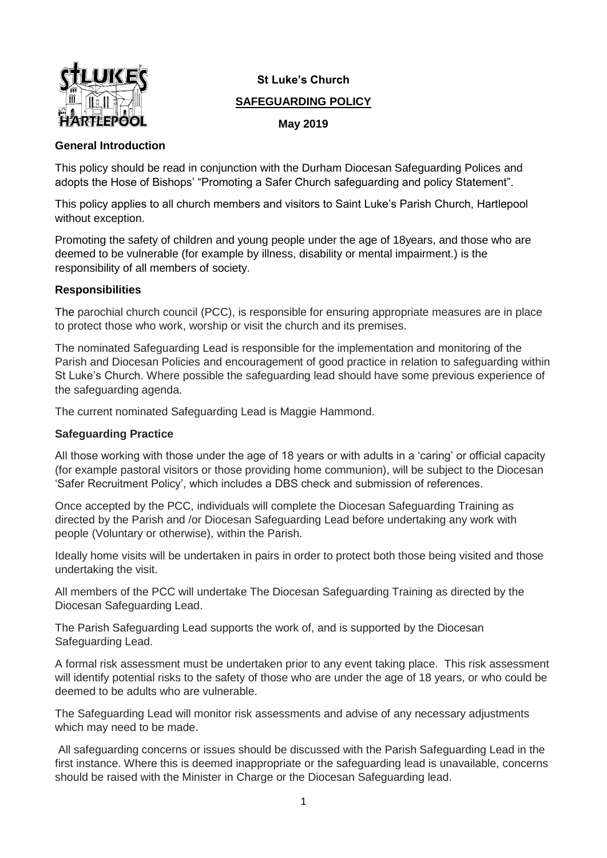

# **St Luke's Church**

# **SAFEGUARDING POLICY**

## **May 2019**

## **General Introduction**

This policy should be read in conjunction with the Durham Diocesan Safeguarding Polices and adopts the Hose of Bishops' "Promoting a Safer Church safeguarding and policy Statement".

This policy applies to all church members and visitors to Saint Luke's Parish Church, Hartlepool without exception.

Promoting the safety of children and young people under the age of 18years, and those who are deemed to be vulnerable (for example by illness, disability or mental impairment.) is the responsibility of all members of society.

# **Responsibilities**

The parochial church council (PCC), is responsible for ensuring appropriate measures are in place to protect those who work, worship or visit the church and its premises.

The nominated Safeguarding Lead is responsible for the implementation and monitoring of the Parish and Diocesan Policies and encouragement of good practice in relation to safeguarding within St Luke's Church. Where possible the safeguarding lead should have some previous experience of the safeguarding agenda.

The current nominated Safeguarding Lead is Maggie Hammond.

## **Safeguarding Practice**

All those working with those under the age of 18 years or with adults in a 'caring' or official capacity (for example pastoral visitors or those providing home communion), will be subject to the Diocesan 'Safer Recruitment Policy', which includes a DBS check and submission of references.

Once accepted by the PCC, individuals will complete the Diocesan Safeguarding Training as directed by the Parish and /or Diocesan Safeguarding Lead before undertaking any work with people (Voluntary or otherwise), within the Parish.

Ideally home visits will be undertaken in pairs in order to protect both those being visited and those undertaking the visit.

All members of the PCC will undertake The Diocesan Safeguarding Training as directed by the Diocesan Safeguarding Lead.

The Parish Safeguarding Lead supports the work of, and is supported by the Diocesan Safeguarding Lead.

A formal risk assessment must be undertaken prior to any event taking place. This risk assessment will identify potential risks to the safety of those who are under the age of 18 years, or who could be deemed to be adults who are vulnerable.

The Safeguarding Lead will monitor risk assessments and advise of any necessary adjustments which may need to be made.

All safeguarding concerns or issues should be discussed with the Parish Safeguarding Lead in the first instance. Where this is deemed inappropriate or the safeguarding lead is unavailable, concerns should be raised with the Minister in Charge or the Diocesan Safeguarding lead.